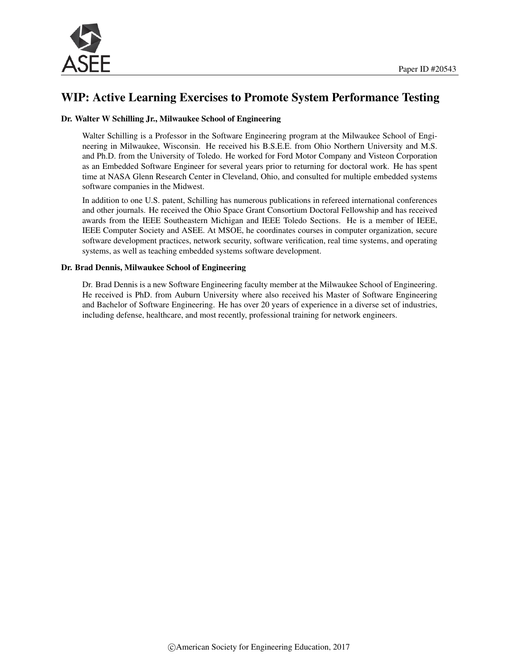

# WIP: Active Learning Exercises to Promote System Performance Testing

#### Dr. Walter W Schilling Jr., Milwaukee School of Engineering

Walter Schilling is a Professor in the Software Engineering program at the Milwaukee School of Engineering in Milwaukee, Wisconsin. He received his B.S.E.E. from Ohio Northern University and M.S. and Ph.D. from the University of Toledo. He worked for Ford Motor Company and Visteon Corporation as an Embedded Software Engineer for several years prior to returning for doctoral work. He has spent time at NASA Glenn Research Center in Cleveland, Ohio, and consulted for multiple embedded systems software companies in the Midwest.

In addition to one U.S. patent, Schilling has numerous publications in refereed international conferences and other journals. He received the Ohio Space Grant Consortium Doctoral Fellowship and has received awards from the IEEE Southeastern Michigan and IEEE Toledo Sections. He is a member of IEEE, IEEE Computer Society and ASEE. At MSOE, he coordinates courses in computer organization, secure software development practices, network security, software verification, real time systems, and operating systems, as well as teaching embedded systems software development.

#### Dr. Brad Dennis, Milwaukee School of Engineering

Dr. Brad Dennis is a new Software Engineering faculty member at the Milwaukee School of Engineering. He received is PhD. from Auburn University where also received his Master of Software Engineering and Bachelor of Software Engineering. He has over 20 years of experience in a diverse set of industries, including defense, healthcare, and most recently, professional training for network engineers.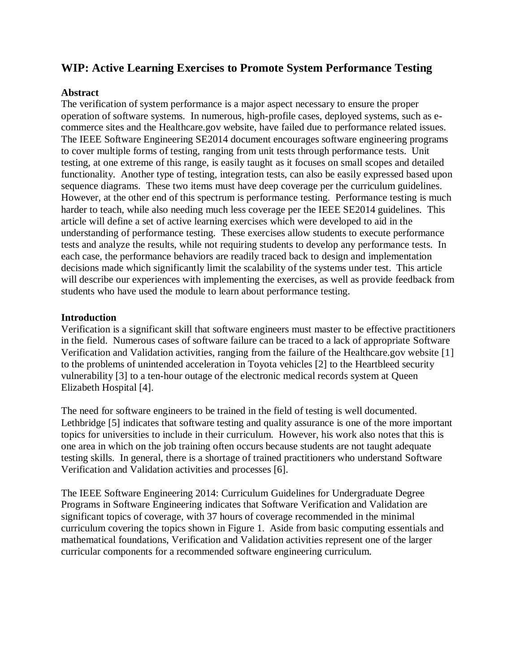# **WIP: Active Learning Exercises to Promote System Performance Testing**

### **Abstract**

The verification of system performance is a major aspect necessary to ensure the proper operation of software systems. In numerous, high-profile cases, deployed systems, such as ecommerce sites and the Healthcare.gov website, have failed due to performance related issues. The IEEE Software Engineering SE2014 document encourages software engineering programs to cover multiple forms of testing, ranging from unit tests through performance tests. Unit testing, at one extreme of this range, is easily taught as it focuses on small scopes and detailed functionality. Another type of testing, integration tests, can also be easily expressed based upon sequence diagrams. These two items must have deep coverage per the curriculum guidelines. However, at the other end of this spectrum is performance testing. Performance testing is much harder to teach, while also needing much less coverage per the IEEE SE2014 guidelines. This article will define a set of active learning exercises which were developed to aid in the understanding of performance testing. These exercises allow students to execute performance tests and analyze the results, while not requiring students to develop any performance tests. In each case, the performance behaviors are readily traced back to design and implementation decisions made which significantly limit the scalability of the systems under test. This article will describe our experiences with implementing the exercises, as well as provide feedback from students who have used the module to learn about performance testing.

## **Introduction**

Verification is a significant skill that software engineers must master to be effective practitioners in the field. Numerous cases of software failure can be traced to a lack of appropriate Software Verification and Validation activities, ranging from the failure of the Healthcare.gov website [1] to the problems of unintended acceleration in Toyota vehicles [2] to the Heartbleed security vulnerability [3] to a ten-hour outage of the electronic medical records system at Queen Elizabeth Hospital [4].

The need for software engineers to be trained in the field of testing is well documented. Lethbridge [5] indicates that software testing and quality assurance is one of the more important topics for universities to include in their curriculum. However, his work also notes that this is one area in which on the job training often occurs because students are not taught adequate testing skills. In general, there is a shortage of trained practitioners who understand Software Verification and Validation activities and processes [6].

The IEEE Software Engineering 2014: Curriculum Guidelines for Undergraduate Degree Programs in Software Engineering indicates that Software Verification and Validation are significant topics of coverage, with 37 hours of coverage recommended in the minimal curriculum covering the topics shown in Figure 1. Aside from basic computing essentials and mathematical foundations, Verification and Validation activities represent one of the larger curricular components for a recommended software engineering curriculum.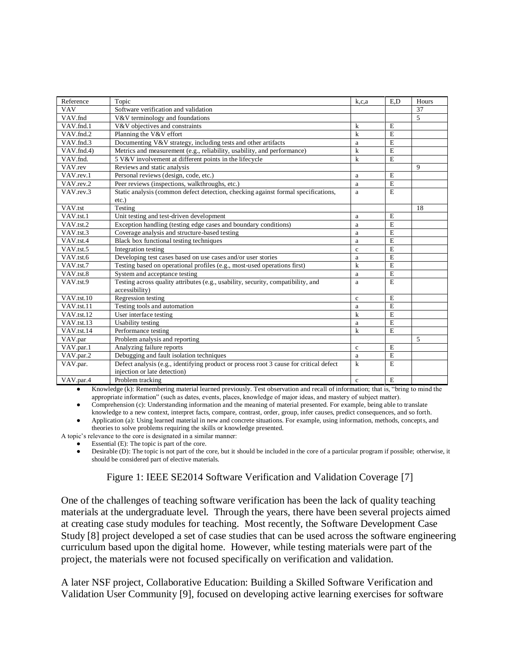| Reference               | Topic                                                                                  | k.c.a        | E.D            | Hours       |
|-------------------------|----------------------------------------------------------------------------------------|--------------|----------------|-------------|
| <b>VAV</b>              | Software verification and validation                                                   |              |                | 37          |
| VAV.fnd                 | V&V terminology and foundations                                                        |              |                | 5           |
| VAV.fnd.1               | V&V objectives and constraints                                                         | k            | E              |             |
| VAV.fnd.2               | Planning the V&V effort                                                                | k            | E              |             |
| VAV.fnd.3               | Documenting V&V strategy, including tests and other artifacts                          | a            | E              |             |
| VAV.fnd.4)              | Metrics and measurement (e.g., reliability, usability, and performance)                | $\mathbf{k}$ | E              |             |
| VAV.fnd.                | 5 V&V involvement at different points in the lifecycle                                 | k            | E              |             |
| VAV.rev                 | Reviews and static analysis                                                            |              |                | $\mathbf Q$ |
| VAV.rev.1               | Personal reviews (design, code, etc.)                                                  | a            | E              |             |
| VAV.rev.2               | Peer reviews (inspections, walkthroughs, etc.)                                         | a            | E              |             |
| VAV.rev.3               | Static analysis (common defect detection, checking against formal specifications,      | a            | E              |             |
|                         | $etc.$ )                                                                               |              |                |             |
| VAV.tst                 | Testing                                                                                |              |                | 18          |
| VAV.tst.1               | Unit testing and test-driven development                                               | a            | E              |             |
| VAV.tst.2               | Exception handling (testing edge cases and boundary conditions)                        | a            | E              |             |
| VAV.tst.3               | Coverage analysis and structure-based testing                                          | a            | E              |             |
| VAV.tst.4               | Black box functional testing techniques                                                | a            | E              |             |
| VAV.tst.5               | Integration testing                                                                    | $\mathbf c$  | E              |             |
| VAV.tst.6               | Developing test cases based on use cases and/or user stories                           | $\rm{a}$     | E              |             |
| VAV.tst.7               | Testing based on operational profiles (e.g., most-used operations first)               | k            | E              |             |
| VAV.tst.8               | System and acceptance testing                                                          | a            | $\overline{E}$ |             |
| VAV.tst.9               | Testing across quality attributes (e.g., usability, security, compatibility, and       | a            | E              |             |
|                         | accessibility)                                                                         |              |                |             |
| VAV.tst.10              | Regression testing                                                                     | $\mathbf{c}$ | E              |             |
| VAV.tst.11              | Testing tools and automation                                                           | a            | $\overline{E}$ |             |
| VAV.tst.12              | User interface testing                                                                 | k            | Ē              |             |
| VAV.tst.13              | <b>Usability</b> testing                                                               | a            | E              |             |
| VAV <sub>.tst.14</sub>  | Performance testing                                                                    | k            | E              |             |
| VAV.par                 | Problem analysis and reporting                                                         |              |                | 5           |
| $\overline{V}$ AV.par.1 | Analyzing failure reports                                                              | $\mathbf{c}$ | $\mathbf E$    |             |
| VAV.par.2               | Debugging and fault isolation techniques                                               | a            | E              |             |
| VAV.par.                | Defect analysis (e.g., identifying product or process root 3 cause for critical defect | k            | E              |             |
|                         | injection or late detection)                                                           |              |                |             |
| VAV.par.4               | Problem tracking                                                                       | $\mathbf{c}$ | E              |             |

Knowledge (k): Remembering material learned previously. Test observation and recall of information; that is, "bring to mind the appropriate information" (such as dates, events, places, knowledge of major ideas, and mastery of subject matter).

Comprehension (c): Understanding information and the meaning of material presented. For example, being able to translate knowledge to a new context, interpret facts, compare, contrast, order, group, infer causes, predict consequences, and so forth.

● Application (a): Using learned material in new and concrete situations. For example, using information, methods, concepts, and theories to solve problems requiring the skills or knowledge presented.

A topic's relevance to the core is designated in a similar manner:

Essential  $(E)$ : The topic is part of the core.

• Desirable (D): The topic is not part of the core, but it should be included in the core of a particular program if possible; otherwise, it should be considered part of elective materials.

Figure 1: IEEE SE2014 Software Verification and Validation Coverage [7]

One of the challenges of teaching software verification has been the lack of quality teaching materials at the undergraduate level. Through the years, there have been several projects aimed at creating case study modules for teaching. Most recently, the Software Development Case Study [8] project developed a set of case studies that can be used across the software engineering curriculum based upon the digital home. However, while testing materials were part of the project, the materials were not focused specifically on verification and validation.

A later NSF project, Collaborative Education: Building a Skilled Software Verification and Validation User Community [9], focused on developing active learning exercises for software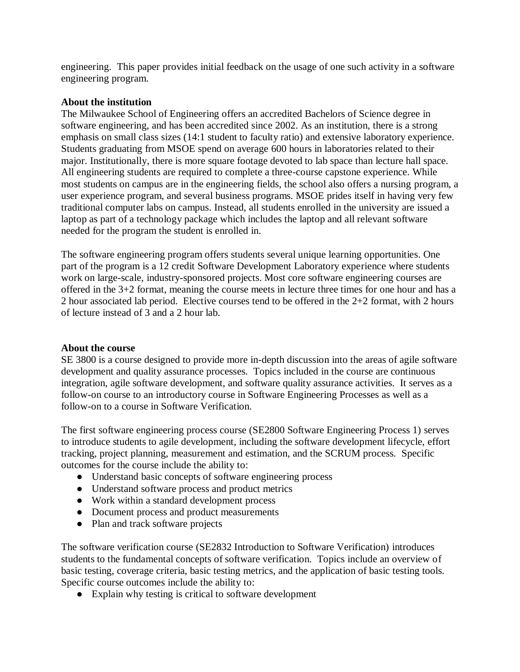engineering. This paper provides initial feedback on the usage of one such activity in a software engineering program.

### **About the institution**

The Milwaukee School of Engineering offers an accredited Bachelors of Science degree in software engineering, and has been accredited since 2002. As an institution, there is a strong emphasis on small class sizes (14:1 student to faculty ratio) and extensive laboratory experience. Students graduating from MSOE spend on average 600 hours in laboratories related to their major. Institutionally, there is more square footage devoted to lab space than lecture hall space. All engineering students are required to complete a three-course capstone experience. While most students on campus are in the engineering fields, the school also offers a nursing program, a user experience program, and several business programs. MSOE prides itself in having very few traditional computer labs on campus. Instead, all students enrolled in the university are issued a laptop as part of a technology package which includes the laptop and all relevant software needed for the program the student is enrolled in.

The software engineering program offers students several unique learning opportunities. One part of the program is a 12 credit Software Development Laboratory experience where students work on large-scale, industry-sponsored projects. Most core software engineering courses are offered in the 3+2 format, meaning the course meets in lecture three times for one hour and has a 2 hour associated lab period. Elective courses tend to be offered in the 2+2 format, with 2 hours of lecture instead of 3 and a 2 hour lab.

## **About the course**

SE 3800 is a course designed to provide more in-depth discussion into the areas of agile software development and quality assurance processes. Topics included in the course are continuous integration, agile software development, and software quality assurance activities. It serves as a follow-on course to an introductory course in Software Engineering Processes as well as a follow-on to a course in Software Verification.

The first software engineering process course (SE2800 Software Engineering Process 1) serves to introduce students to agile development, including the software development lifecycle, effort tracking, project planning, measurement and estimation, and the SCRUM process. Specific outcomes for the course include the ability to:

- Understand basic concepts of software engineering process
- Understand software process and product metrics
- Work within a standard development process
- Document process and product measurements
- Plan and track software projects

The software verification course (SE2832 Introduction to Software Verification) introduces students to the fundamental concepts of software verification. Topics include an overview of basic testing, coverage criteria, basic testing metrics, and the application of basic testing tools. Specific course outcomes include the ability to:

● Explain why testing is critical to software development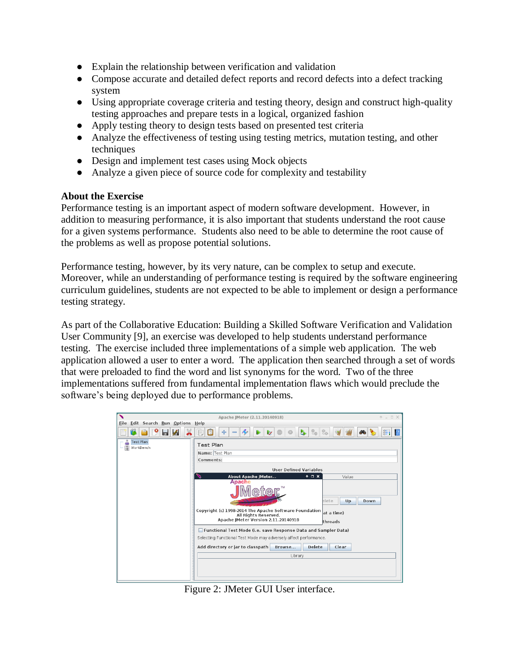- Explain the relationship between verification and validation
- Compose accurate and detailed defect reports and record defects into a defect tracking system
- Using appropriate coverage criteria and testing theory, design and construct high-quality testing approaches and prepare tests in a logical, organized fashion
- Apply testing theory to design tests based on presented test criteria
- Analyze the effectiveness of testing using testing metrics, mutation testing, and other techniques
- Design and implement test cases using Mock objects
- Analyze a given piece of source code for complexity and testability

### **About the Exercise**

Performance testing is an important aspect of modern software development. However, in addition to measuring performance, it is also important that students understand the root cause for a given systems performance. Students also need to be able to determine the root cause of the problems as well as propose potential solutions.

Performance testing, however, by its very nature, can be complex to setup and execute. Moreover, while an understanding of performance testing is required by the software engineering curriculum guidelines, students are not expected to be able to implement or design a performance testing strategy.

As part of the Collaborative Education: Building a Skilled Software Verification and Validation User Community [9], an exercise was developed to help students understand performance testing. The exercise included three implementations of a simple web application. The web application allowed a user to enter a word. The application then searched through a set of words that were preloaded to find the word and list synonyms for the word. Two of the three implementations suffered from fundamental implementation flaws which would preclude the software's being deployed due to performance problems.

|                                    | Apache JMeter (2.11.20140918)                                                                | $A = \square$ X |
|------------------------------------|----------------------------------------------------------------------------------------------|-----------------|
| Eile Edit Search Run Options Help  |                                                                                              |                 |
| $\chi$<br>$\mathscr{L}$<br>ы       | A<br>b.<br>÷.<br>66<br>⊕<br>Ę<br>$\overline{\mathscr{L}}$                                    | 涯               |
| <b>Test Plan</b><br>Æ<br>WorkBench | <b>Test Plan</b>                                                                             |                 |
|                                    | Name: Test Plan                                                                              |                 |
|                                    | Comments:                                                                                    |                 |
|                                    | <b>User Defined Variables</b>                                                                |                 |
|                                    | $A \Box X$<br>About Apache JMeter<br>Value<br><b>Apache</b>                                  |                 |
|                                    |                                                                                              |                 |
|                                    | elete<br>Up<br>Down                                                                          |                 |
|                                    | Copyright (c) 1998-2014 The Apache Software Foundation<br>at a time)<br>All Rights Reserved. |                 |
|                                    | Apache JMeter Version 2.11.20140918<br>threads                                               |                 |
|                                    | Functional Test Mode (i.e. save Response Data and Sampler Data)                              |                 |
|                                    | Selecting Functional Test Mode may adversely affect performance.                             |                 |
|                                    | <b>Delete</b><br>Add directory or jar to classpath<br>Clear<br>Browse                        |                 |
|                                    | Library                                                                                      |                 |
|                                    |                                                                                              |                 |
|                                    |                                                                                              |                 |
|                                    |                                                                                              |                 |

Figure 2: JMeter GUI User interface.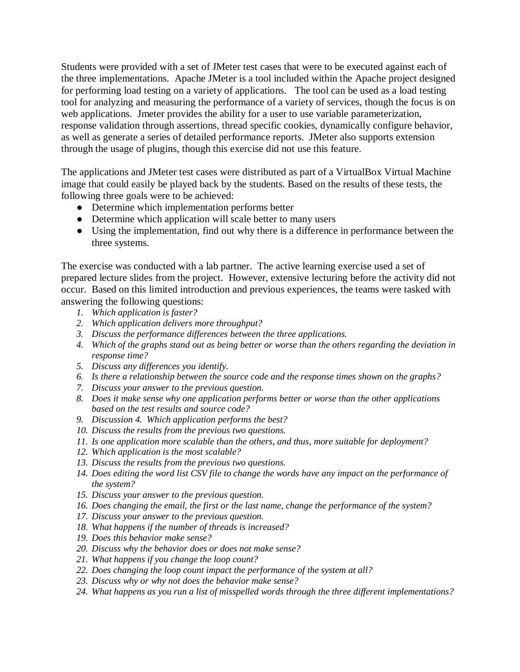Students were provided with a set of JMeter test cases that were to be executed against each of the three implementations. Apache JMeter is a tool included within the Apache project designed for performing load testing on a variety of applications. The tool can be used as a load testing tool for analyzing and measuring the performance of a variety of services, though the focus is on web applications. Jmeter provides the ability for a user to use variable parameterization, response validation through assertions, thread specific cookies, dynamically configure behavior, as well as generate a series of detailed performance reports. JMeter also supports extension through the usage of plugins, though this exercise did not use this feature.

The applications and JMeter test cases were distributed as part of a VirtualBox Virtual Machine image that could easily be played back by the students. Based on the results of these tests, the following three goals were to be achieved:

- Determine which implementation performs better
- Determine which application will scale better to many users
- Using the implementation, find out why there is a difference in performance between the three systems.

The exercise was conducted with a lab partner. The active learning exercise used a set of prepared lecture slides from the project. However, extensive lecturing before the activity did not occur. Based on this limited introduction and previous experiences, the teams were tasked with answering the following questions:

- *1. Which application is faster?*
- *2. Which application delivers more throughput?*
- *3. Discuss the performance differences between the three applications.*
- *4. Which of the graphs stand out as being better or worse than the others regarding the deviation in response time?*
- *5. Discuss any differences you identify.*
- *6. Is there a relationship between the source code and the response times shown on the graphs?*
- *7. Discuss your answer to the previous question.*
- *8. Does it make sense why one application performs better or worse than the other applications based on the test results and source code?*
- *9. Discussion 4. Which application performs the best?*
- *10. Discuss the results from the previous two questions.*
- *11. Is one application more scalable than the others, and thus, more suitable for deployment?*
- *12. Which application is the most scalable?*
- *13. Discuss the results from the previous two questions.*
- *14. Does editing the word list CSV file to change the words have any impact on the performance of the system?*
- *15. Discuss your answer to the previous question.*
- *16. Does changing the email, the first or the last name, change the performance of the system?*
- *17. Discuss your answer to the previous question.*
- *18. What happens if the number of threads is increased?*
- *19. Does this behavior make sense?*
- *20. Discuss why the behavior does or does not make sense?*
- *21. What happens if you change the loop count?*
- *22. Does changing the loop count impact the performance of the system at all?*
- *23. Discuss why or why not does the behavior make sense?*
- *24. What happens as you run a list of misspelled words through the three different implementations?*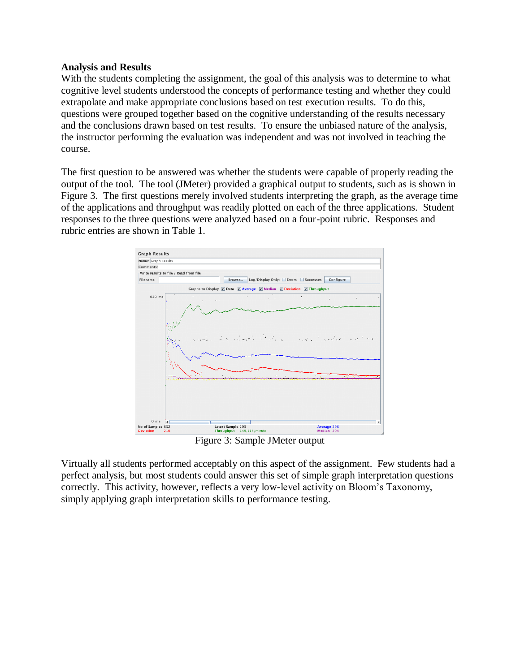#### **Analysis and Results**

With the students completing the assignment, the goal of this analysis was to determine to what cognitive level students understood the concepts of performance testing and whether they could extrapolate and make appropriate conclusions based on test execution results. To do this, questions were grouped together based on the cognitive understanding of the results necessary and the conclusions drawn based on test results. To ensure the unbiased nature of the analysis, the instructor performing the evaluation was independent and was not involved in teaching the course.

The first question to be answered was whether the students were capable of properly reading the output of the tool. The tool (JMeter) provided a graphical output to students, such as is shown in Figure 3. The first questions merely involved students interpreting the graph, as the average time of the applications and throughput was readily plotted on each of the three applications. Student responses to the three questions were analyzed based on a four-point rubric. Responses and rubric entries are shown in Table 1.



Figure 3: Sample JMeter output

Virtually all students performed acceptably on this aspect of the assignment. Few students had a perfect analysis, but most students could answer this set of simple graph interpretation questions correctly. This activity, however, reflects a very low-level activity on Bloom's Taxonomy, simply applying graph interpretation skills to performance testing.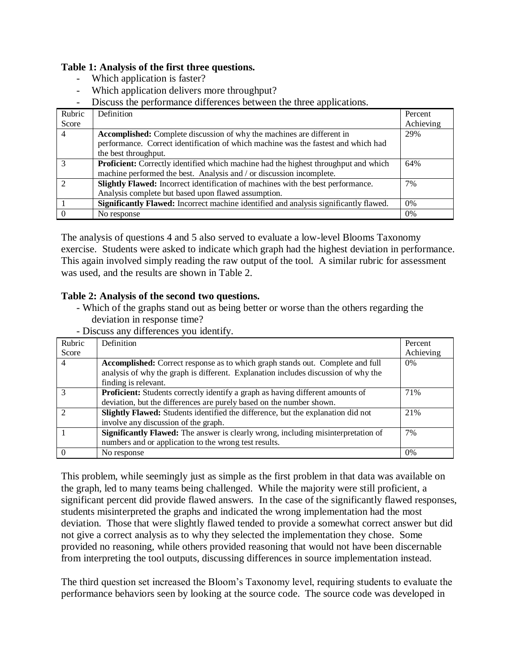## **Table 1: Analysis of the first three questions.**

- Which application is faster?
- Which application delivers more throughput?
- Discuss the performance differences between the three applications.

| Rubric | Definition                                                                                   | Percent   |
|--------|----------------------------------------------------------------------------------------------|-----------|
| Score  |                                                                                              | Achieving |
| 4      | Accomplished: Complete discussion of why the machines are different in                       | 29%       |
|        | performance. Correct identification of which machine was the fastest and which had           |           |
|        | the best throughput.                                                                         |           |
|        | <b>Proficient:</b> Correctly identified which machine had the highest throughput and which   | 64%       |
|        | machine performed the best. Analysis and / or discussion incomplete.                         |           |
|        | Slightly Flawed: Incorrect identification of machines with the best performance.             | 7%        |
|        | Analysis complete but based upon flawed assumption.                                          |           |
|        | <b>Significantly Flawed:</b> Incorrect machine identified and analysis significantly flawed. | $0\%$     |
|        | No response                                                                                  | $0\%$     |

The analysis of questions 4 and 5 also served to evaluate a low-level Blooms Taxonomy exercise. Students were asked to indicate which graph had the highest deviation in performance. This again involved simply reading the raw output of the tool. A similar rubric for assessment was used, and the results are shown in Table 2.

## **Table 2: Analysis of the second two questions.**

- Which of the graphs stand out as being better or worse than the others regarding the deviation in response time?
- Discuss any differences you identify.

| Rubric        | Definition                                                                               | Percent   |
|---------------|------------------------------------------------------------------------------------------|-----------|
| Score         |                                                                                          | Achieving |
| 4             | Accomplished: Correct response as to which graph stands out. Complete and full           | $0\%$     |
|               | analysis of why the graph is different. Explanation includes discussion of why the       |           |
|               | finding is relevant.                                                                     |           |
|               | <b>Proficient:</b> Students correctly identify a graph as having different amounts of    | 71%       |
|               | deviation, but the differences are purely based on the number shown.                     |           |
| $\mathcal{D}$ | Slightly Flawed: Students identified the difference, but the explanation did not         | 21%       |
|               | involve any discussion of the graph.                                                     |           |
|               | <b>Significantly Flawed:</b> The answer is clearly wrong, including misinterpretation of | 7%        |
|               | numbers and or application to the wrong test results.                                    |           |
|               | No response                                                                              | $0\%$     |

This problem, while seemingly just as simple as the first problem in that data was available on the graph, led to many teams being challenged. While the majority were still proficient, a significant percent did provide flawed answers. In the case of the significantly flawed responses, students misinterpreted the graphs and indicated the wrong implementation had the most deviation. Those that were slightly flawed tended to provide a somewhat correct answer but did not give a correct analysis as to why they selected the implementation they chose. Some provided no reasoning, while others provided reasoning that would not have been discernable from interpreting the tool outputs, discussing differences in source implementation instead.

The third question set increased the Bloom's Taxonomy level, requiring students to evaluate the performance behaviors seen by looking at the source code. The source code was developed in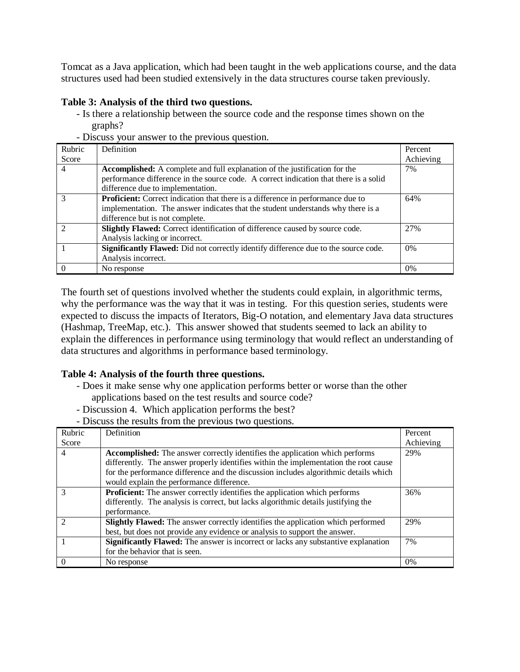Tomcat as a Java application, which had been taught in the web applications course, and the data structures used had been studied extensively in the data structures course taken previously.

## **Table 3: Analysis of the third two questions.**

- Is there a relationship between the source code and the response times shown on the graphs?
- Rubric Score Definition Percent Achieving 4 **Accomplished:** A complete and full explanation of the justification for the performance difference in the source code. A correct indication that there is a solid difference due to implementation. 7% 3 **Proficient:** Correct indication that there is a difference in performance due to implementation. The answer indicates that the student understands why there is a difference but is not complete. 64% 2 **Slightly Flawed:** Correct identification of difference caused by source code. Analysis lacking or incorrect. 27% **1 Significantly Flawed:** Did not correctly identify difference due to the source code. Analysis incorrect. 0%  $\begin{array}{c|c} 0 & \text{No response} \end{array}$  0%
- Discuss your answer to the previous question.

The fourth set of questions involved whether the students could explain, in algorithmic terms, why the performance was the way that it was in testing. For this question series, students were expected to discuss the impacts of Iterators, Big-O notation, and elementary Java data structures (Hashmap, TreeMap, etc.). This answer showed that students seemed to lack an ability to explain the differences in performance using terminology that would reflect an understanding of data structures and algorithms in performance based terminology.

### **Table 4: Analysis of the fourth three questions.**

- Does it make sense why one application performs better or worse than the other applications based on the test results and source code?
- Discussion 4. Which application performs the best?
- Discuss the results from the previous two questions.

| Rubric         | Definition                                                                                | Percent   |
|----------------|-------------------------------------------------------------------------------------------|-----------|
| Score          |                                                                                           | Achieving |
| $\overline{4}$ | <b>Accomplished:</b> The answer correctly identifies the application which performs       | 29%       |
|                | differently. The answer properly identifies within the implementation the root cause      |           |
|                | for the performance difference and the discussion includes algorithmic details which      |           |
|                | would explain the performance difference.                                                 |           |
|                | <b>Proficient:</b> The answer correctly identifies the application which performs         | 36%       |
|                | differently. The analysis is correct, but lacks algorithmic details justifying the        |           |
|                | performance.                                                                              |           |
| ာ              | Slightly Flawed: The answer correctly identifies the application which performed          | 29%       |
|                | best, but does not provide any evidence or analysis to support the answer.                |           |
|                | <b>Significantly Flawed:</b> The answer is incorrect or lacks any substantive explanation | 7%        |
|                | for the behavior that is seen.                                                            |           |
| $\Omega$       | No response                                                                               | 0%        |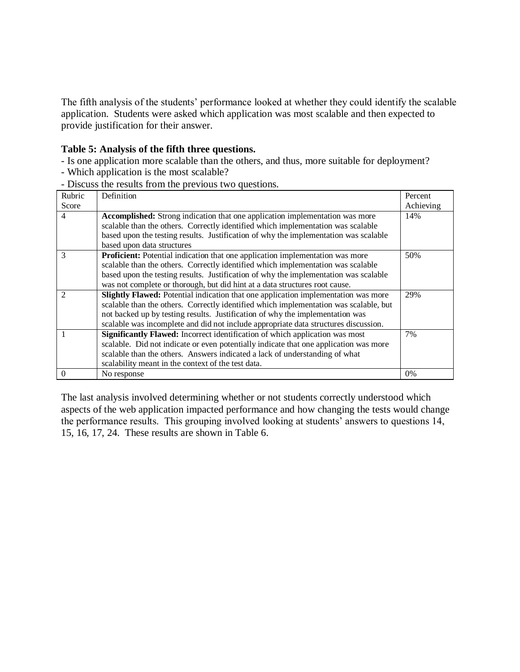The fifth analysis of the students' performance looked at whether they could identify the scalable application. Students were asked which application was most scalable and then expected to provide justification for their answer.

#### **Table 5: Analysis of the fifth three questions.**

- Is one application more scalable than the others, and thus, more suitable for deployment?

- Which application is the most scalable?
- Discuss the results from the previous two questions.

| Rubric | Definition                                                                            | Percent   |
|--------|---------------------------------------------------------------------------------------|-----------|
| Score  |                                                                                       | Achieving |
| 4      | Accomplished: Strong indication that one application implementation was more          | 14%       |
|        | scalable than the others. Correctly identified which implementation was scalable      |           |
|        | based upon the testing results. Justification of why the implementation was scalable  |           |
|        | based upon data structures                                                            |           |
| 3      | <b>Proficient:</b> Potential indication that one application implementation was more  | 50%       |
|        | scalable than the others. Correctly identified which implementation was scalable      |           |
|        | based upon the testing results. Justification of why the implementation was scalable  |           |
|        | was not complete or thorough, but did hint at a data structures root cause.           |           |
|        | Slightly Flawed: Potential indication that one application implementation was more    | 29%       |
|        | scalable than the others. Correctly identified which implementation was scalable, but |           |
|        | not backed up by testing results. Justification of why the implementation was         |           |
|        | scalable was incomplete and did not include appropriate data structures discussion.   |           |
|        | Significantly Flawed: Incorrect identification of which application was most          | 7%        |
|        | scalable. Did not indicate or even potentially indicate that one application was more |           |
|        | scalable than the others. Answers indicated a lack of understanding of what           |           |
|        | scalability meant in the context of the test data.                                    |           |
| 0      | No response                                                                           | 0%        |

The last analysis involved determining whether or not students correctly understood which aspects of the web application impacted performance and how changing the tests would change the performance results. This grouping involved looking at students' answers to questions 14, 15, 16, 17, 24. These results are shown in Table 6.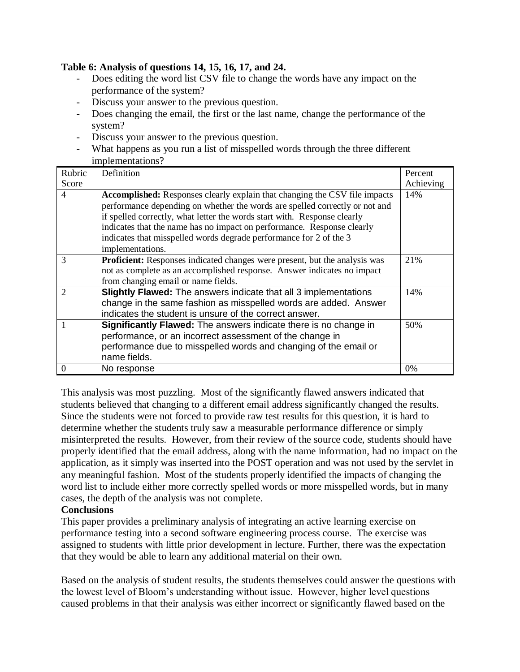## **Table 6: Analysis of questions 14, 15, 16, 17, and 24.**

- Does editing the word list CSV file to change the words have any impact on the performance of the system?
- Discuss your answer to the previous question.
- Does changing the email, the first or the last name, change the performance of the system?
- Discuss your answer to the previous question.
- What happens as you run a list of misspelled words through the three different implementations?

| Rubric         | Definition                                                                        | Percent   |
|----------------|-----------------------------------------------------------------------------------|-----------|
| Score          |                                                                                   | Achieving |
| $\overline{4}$ | <b>Accomplished:</b> Responses clearly explain that changing the CSV file impacts | 14%       |
|                | performance depending on whether the words are spelled correctly or not and       |           |
|                | if spelled correctly, what letter the words start with. Response clearly          |           |
|                | indicates that the name has no impact on performance. Response clearly            |           |
|                | indicates that misspelled words degrade performance for 2 of the 3                |           |
|                | implementations.                                                                  |           |
| 3              | <b>Proficient:</b> Responses indicated changes were present, but the analysis was | 21\%      |
|                | not as complete as an accomplished response. Answer indicates no impact           |           |
|                | from changing email or name fields.                                               |           |
|                | Slightly Flawed: The answers indicate that all 3 implementations                  | 14%       |
|                | change in the same fashion as misspelled words are added. Answer                  |           |
|                | indicates the student is unsure of the correct answer.                            |           |
|                | Significantly Flawed: The answers indicate there is no change in                  | 50%       |
|                | performance, or an incorrect assessment of the change in                          |           |
|                | performance due to misspelled words and changing of the email or                  |           |
|                | name fields.                                                                      |           |
| $\Omega$       | No response                                                                       | 0%        |

This analysis was most puzzling. Most of the significantly flawed answers indicated that students believed that changing to a different email address significantly changed the results. Since the students were not forced to provide raw test results for this question, it is hard to determine whether the students truly saw a measurable performance difference or simply misinterpreted the results. However, from their review of the source code, students should have properly identified that the email address, along with the name information, had no impact on the application, as it simply was inserted into the POST operation and was not used by the servlet in any meaningful fashion. Most of the students properly identified the impacts of changing the word list to include either more correctly spelled words or more misspelled words, but in many cases, the depth of the analysis was not complete.

### **Conclusions**

This paper provides a preliminary analysis of integrating an active learning exercise on performance testing into a second software engineering process course. The exercise was assigned to students with little prior development in lecture. Further, there was the expectation that they would be able to learn any additional material on their own.

Based on the analysis of student results, the students themselves could answer the questions with the lowest level of Bloom's understanding without issue. However, higher level questions caused problems in that their analysis was either incorrect or significantly flawed based on the